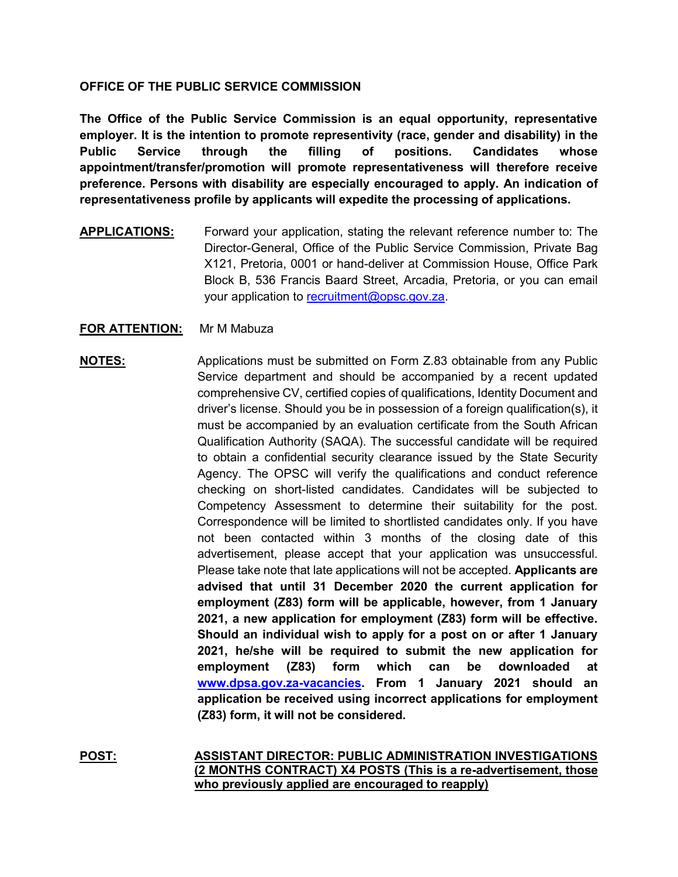## **OFFICE OF THE PUBLIC SERVICE COMMISSION**

**The Office of the Public Service Commission is an equal opportunity, representative employer. It is the intention to promote representivity (race, gender and disability) in the Public Service through the filling of positions. Candidates whose appointment/transfer/promotion will promote representativeness will therefore receive preference. Persons with disability are especially encouraged to apply. An indication of representativeness profile by applicants will expedite the processing of applications.**

**APPLICATIONS:** Forward your application, stating the relevant reference number to: The Director-General, Office of the Public Service Commission, Private Bag X121, Pretoria, 0001 or hand-deliver at Commission House, Office Park Block B, 536 Francis Baard Street, Arcadia, Pretoria, or you can email your application to [recruitment@opsc.gov.za.](mailto:recruitment@opsc.gov.za)

## **FOR ATTENTION:** Mr M Mabuza

## **NOTES:** Applications must be submitted on Form Z.83 obtainable from any Public Service department and should be accompanied by a recent updated comprehensive CV, certified copies of qualifications, Identity Document and driver's license. Should you be in possession of a foreign qualification(s), it must be accompanied by an evaluation certificate from the South African Qualification Authority (SAQA). The successful candidate will be required to obtain a confidential security clearance issued by the State Security Agency. The OPSC will verify the qualifications and conduct reference checking on short-listed candidates. Candidates will be subjected to Competency Assessment to determine their suitability for the post. Correspondence will be limited to shortlisted candidates only. If you have not been contacted within 3 months of the closing date of this advertisement, please accept that your application was unsuccessful. Please take note that late applications will not be accepted. **Applicants are advised that until 31 December 2020 the current application for employment (Z83) form will be applicable, however, from 1 January 2021, a new application for employment (Z83) form will be effective. Should an individual wish to apply for a post on or after 1 January 2021, he/she will be required to submit the new application for employment (Z83) form which can be downloaded at [www.dpsa.gov.za-vacancies.](http://www.dpsa.gov.za-vacancies/) From 1 January 2021 should an application be received using incorrect applications for employment (Z83) form, it will not be considered.**

**POST: ASSISTANT DIRECTOR: PUBLIC ADMINISTRATION INVESTIGATIONS (2 MONTHS CONTRACT) X4 POSTS (This is a re-advertisement, those who previously applied are encouraged to reapply)**